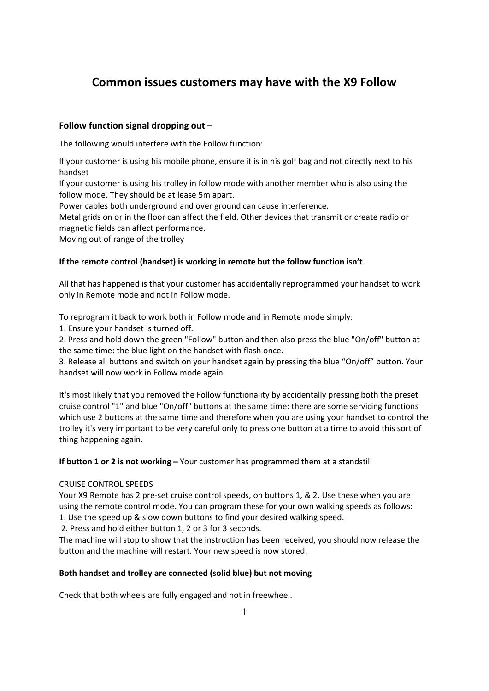# **Common issues customers may have with the X9 Follow**

## **Follow function signal dropping out** –

The following would interfere with the Follow function:

If your customer is using his mobile phone, ensure it is in his golf bag and not directly next to his handset

If your customer is using his trolley in follow mode with another member who is also using the follow mode. They should be at lease 5m apart.

Power cables both underground and over ground can cause interference.

Metal grids on or in the floor can affect the field. Other devices that transmit or create radio or magnetic fields can affect performance.

Moving out of range of the trolley

## **If the remote control (handset) is working in remote but the follow function isn't**

All that has happened is that your customer has accidentally reprogrammed your handset to work only in Remote mode and not in Follow mode.

To reprogram it back to work both in Follow mode and in Remote mode simply:

1. Ensure your handset is turned off.

2. Press and hold down the green "Follow" button and then also press the blue "On/off" button at the same time: the blue light on the handset with flash once.

3. Release all buttons and switch on your handset again by pressing the blue "On/off" button. Your handset will now work in Follow mode again.

It's most likely that you removed the Follow functionality by accidentally pressing both the preset cruise control "1" and blue "On/off" buttons at the same time: there are some servicing functions which use 2 buttons at the same time and therefore when you are using your handset to control the trolley it's very important to be very careful only to press one button at a time to avoid this sort of thing happening again.

**If button 1 or 2 is not working –** Your customer has programmed them at a standstill

## CRUISE CONTROL SPEEDS

Your X9 Remote has 2 pre-set cruise control speeds, on buttons 1, & 2. Use these when you are using the remote control mode. You can program these for your own walking speeds as follows: 1. Use the speed up & slow down buttons to find your desired walking speed.

2. Press and hold either button 1, 2 or 3 for 3 seconds.

The machine will stop to show that the instruction has been received, you should now release the button and the machine will restart. Your new speed is now stored.

## **Both handset and trolley are connected (solid blue) but not moving**

Check that both wheels are fully engaged and not in freewheel.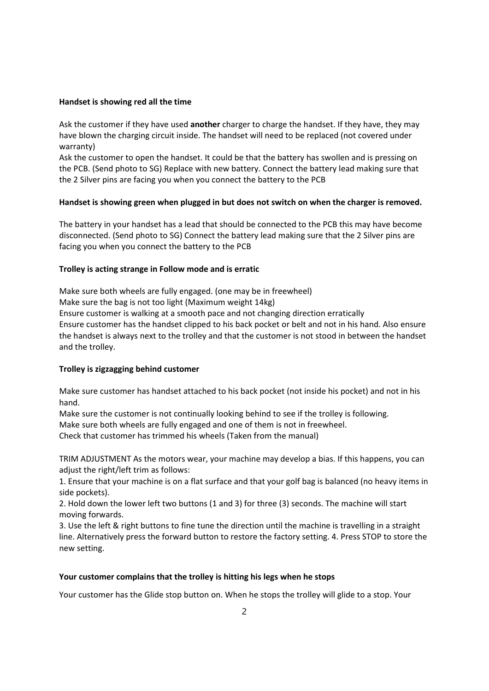#### **Handset is showing red all the time**

Ask the customer if they have used **another** charger to charge the handset. If they have, they may have blown the charging circuit inside. The handset will need to be replaced (not covered under warranty)

Ask the customer to open the handset. It could be that the battery has swollen and is pressing on the PCB. (Send photo to SG) Replace with new battery. Connect the battery lead making sure that the 2 Silver pins are facing you when you connect the battery to the PCB

#### **Handset is showing green when plugged in but does not switch on when the charger is removed.**

The battery in your handset has a lead that should be connected to the PCB this may have become disconnected. (Send photo to SG) Connect the battery lead making sure that the 2 Silver pins are facing you when you connect the battery to the PCB

#### **Trolley is acting strange in Follow mode and is erratic**

Make sure both wheels are fully engaged. (one may be in freewheel) Make sure the bag is not too light (Maximum weight 14kg) Ensure customer is walking at a smooth pace and not changing direction erratically Ensure customer has the handset clipped to his back pocket or belt and not in his hand. Also ensure the handset is always next to the trolley and that the customer is not stood in between the handset and the trolley.

#### **Trolley is zigzagging behind customer**

Make sure customer has handset attached to his back pocket (not inside his pocket) and not in his hand.

Make sure the customer is not continually looking behind to see if the trolley is following. Make sure both wheels are fully engaged and one of them is not in freewheel.

Check that customer has trimmed his wheels (Taken from the manual)

TRIM ADJUSTMENT As the motors wear, your machine may develop a bias. If this happens, you can adjust the right/left trim as follows:

1. Ensure that your machine is on a flat surface and that your golf bag is balanced (no heavy items in side pockets).

2. Hold down the lower left two buttons (1 and 3) for three (3) seconds. The machine will start moving forwards.

3. Use the left & right buttons to fine tune the direction until the machine is travelling in a straight line. Alternatively press the forward button to restore the factory setting. 4. Press STOP to store the new setting.

#### **Your customer complains that the trolley is hitting his legs when he stops**

Your customer has the Glide stop button on. When he stops the trolley will glide to a stop. Your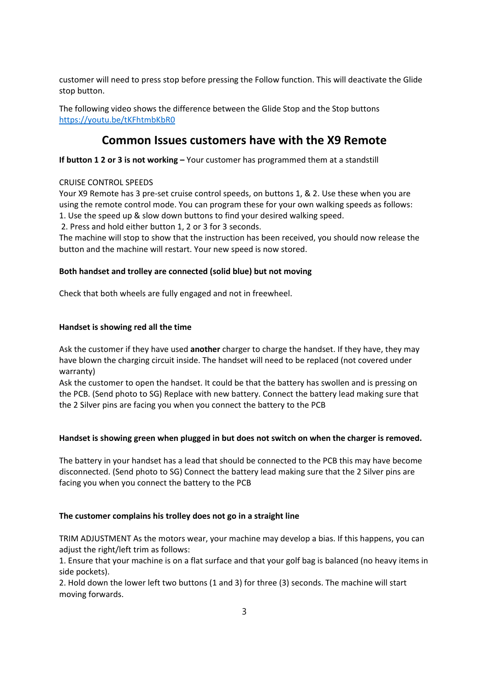customer will need to press stop before pressing the Follow function. This will deactivate the Glide stop button.

The following video shows the difference between the Glide Stop and the Stop buttons https://youtu.be/tKFhtmbKbR0

## **Common Issues customers have with the X9 Remote**

**If button 1 2 or 3 is not working –** Your customer has programmed them at a standstill

## CRUISE CONTROL SPEEDS

Your X9 Remote has 3 pre-set cruise control speeds, on buttons 1, & 2. Use these when you are using the remote control mode. You can program these for your own walking speeds as follows: 1. Use the speed up & slow down buttons to find your desired walking speed.

2. Press and hold either button 1, 2 or 3 for 3 seconds.

The machine will stop to show that the instruction has been received, you should now release the button and the machine will restart. Your new speed is now stored.

## **Both handset and trolley are connected (solid blue) but not moving**

Check that both wheels are fully engaged and not in freewheel.

## **Handset is showing red all the time**

Ask the customer if they have used **another** charger to charge the handset. If they have, they may have blown the charging circuit inside. The handset will need to be replaced (not covered under warranty)

Ask the customer to open the handset. It could be that the battery has swollen and is pressing on the PCB. (Send photo to SG) Replace with new battery. Connect the battery lead making sure that the 2 Silver pins are facing you when you connect the battery to the PCB

#### **Handset is showing green when plugged in but does not switch on when the charger is removed.**

The battery in your handset has a lead that should be connected to the PCB this may have become disconnected. (Send photo to SG) Connect the battery lead making sure that the 2 Silver pins are facing you when you connect the battery to the PCB

#### **The customer complains his trolley does not go in a straight line**

TRIM ADJUSTMENT As the motors wear, your machine may develop a bias. If this happens, you can adjust the right/left trim as follows:

1. Ensure that your machine is on a flat surface and that your golf bag is balanced (no heavy items in side pockets).

2. Hold down the lower left two buttons (1 and 3) for three (3) seconds. The machine will start moving forwards.